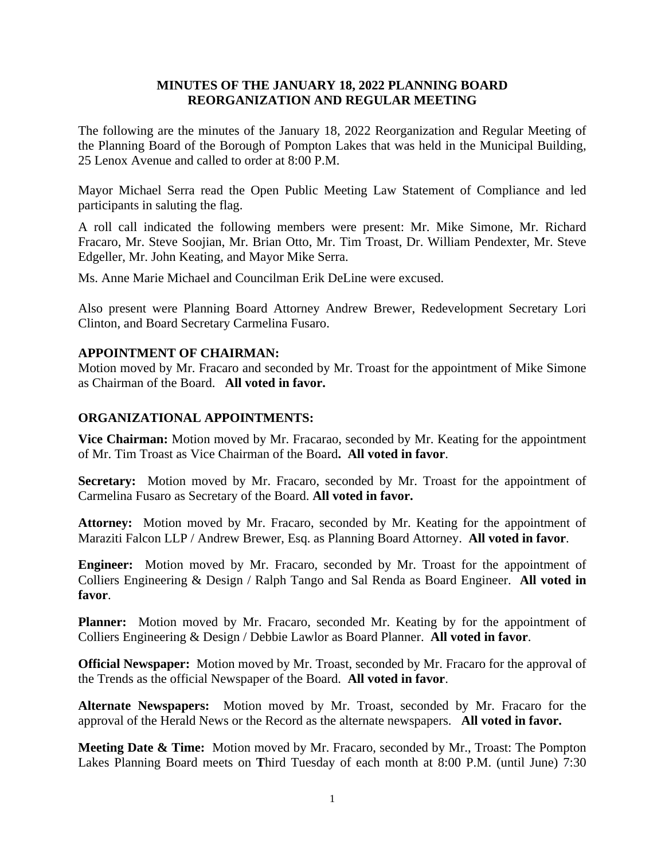# **MINUTES OF THE JANUARY 18, 2022 PLANNING BOARD REORGANIZATION AND REGULAR MEETING**

The following are the minutes of the January 18, 2022 Reorganization and Regular Meeting of the Planning Board of the Borough of Pompton Lakes that was held in the Municipal Building, 25 Lenox Avenue and called to order at 8:00 P.M.

Mayor Michael Serra read the Open Public Meeting Law Statement of Compliance and led participants in saluting the flag.

A roll call indicated the following members were present: Mr. Mike Simone, Mr. Richard Fracaro, Mr. Steve Soojian, Mr. Brian Otto, Mr. Tim Troast, Dr. William Pendexter, Mr. Steve Edgeller, Mr. John Keating, and Mayor Mike Serra.

Ms. Anne Marie Michael and Councilman Erik DeLine were excused.

Also present were Planning Board Attorney Andrew Brewer, Redevelopment Secretary Lori Clinton, and Board Secretary Carmelina Fusaro.

# **APPOINTMENT OF CHAIRMAN:**

Motion moved by Mr. Fracaro and seconded by Mr. Troast for the appointment of Mike Simone as Chairman of the Board. **All voted in favor.**

# **ORGANIZATIONAL APPOINTMENTS:**

**Vice Chairman:** Motion moved by Mr. Fracarao, seconded by Mr. Keating for the appointment of Mr. Tim Troast as Vice Chairman of the Board**. All voted in favor**.

**Secretary:** Motion moved by Mr. Fracaro, seconded by Mr. Troast for the appointment of Carmelina Fusaro as Secretary of the Board. **All voted in favor.**

**Attorney:** Motion moved by Mr. Fracaro, seconded by Mr. Keating for the appointment of Maraziti Falcon LLP / Andrew Brewer, Esq. as Planning Board Attorney. **All voted in favor**.

**Engineer:** Motion moved by Mr. Fracaro, seconded by Mr. Troast for the appointment of Colliers Engineering & Design / Ralph Tango and Sal Renda as Board Engineer. **All voted in favor**.

**Planner:** Motion moved by Mr. Fracaro, seconded Mr. Keating by for the appointment of Colliers Engineering & Design / Debbie Lawlor as Board Planner. **All voted in favor**.

**Official Newspaper:** Motion moved by Mr. Troast, seconded by Mr. Fracaro for the approval of the Trends as the official Newspaper of the Board. **All voted in favor**.

**Alternate Newspapers:** Motion moved by Mr. Troast, seconded by Mr. Fracaro for the approval of the Herald News or the Record as the alternate newspapers. **All voted in favor.**

**Meeting Date & Time:** Motion moved by Mr. Fracaro, seconded by Mr., Troast: The Pompton Lakes Planning Board meets on **T**hird Tuesday of each month at 8:00 P.M. (until June) 7:30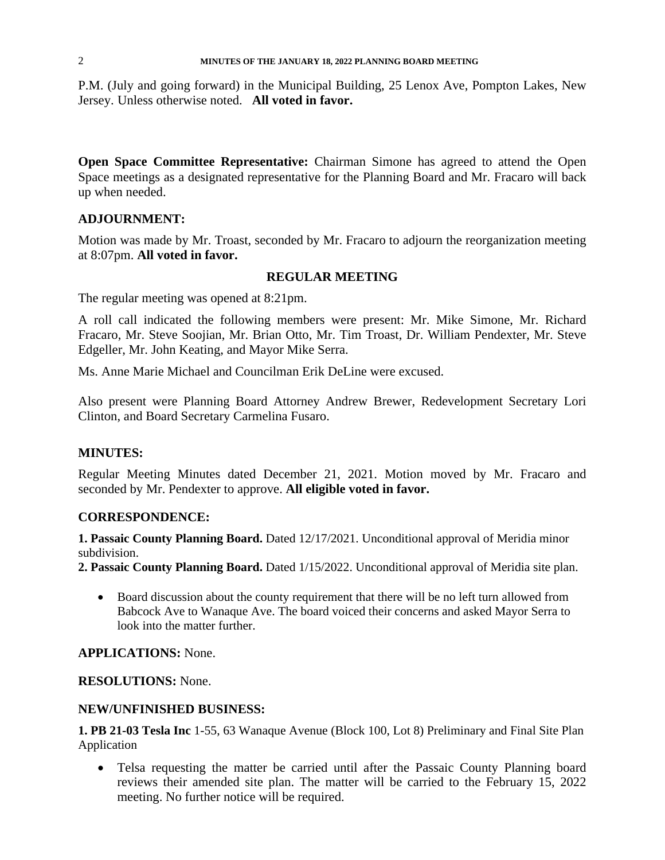P.M. (July and going forward) in the Municipal Building, 25 Lenox Ave, Pompton Lakes, New Jersey. Unless otherwise noted. **All voted in favor.**

**Open Space Committee Representative:** Chairman Simone has agreed to attend the Open Space meetings as a designated representative for the Planning Board and Mr. Fracaro will back up when needed.

### **ADJOURNMENT:**

Motion was made by Mr. Troast, seconded by Mr. Fracaro to adjourn the reorganization meeting at 8:07pm. **All voted in favor.**

### **REGULAR MEETING**

The regular meeting was opened at 8:21pm.

A roll call indicated the following members were present: Mr. Mike Simone, Mr. Richard Fracaro, Mr. Steve Soojian, Mr. Brian Otto, Mr. Tim Troast, Dr. William Pendexter, Mr. Steve Edgeller, Mr. John Keating, and Mayor Mike Serra.

Ms. Anne Marie Michael and Councilman Erik DeLine were excused.

Also present were Planning Board Attorney Andrew Brewer, Redevelopment Secretary Lori Clinton, and Board Secretary Carmelina Fusaro.

#### **MINUTES:**

Regular Meeting Minutes dated December 21, 2021. Motion moved by Mr. Fracaro and seconded by Mr. Pendexter to approve. **All eligible voted in favor.**

#### **CORRESPONDENCE:**

**1. Passaic County Planning Board.** Dated 12/17/2021. Unconditional approval of Meridia minor subdivision.

**2. Passaic County Planning Board.** Dated 1/15/2022. Unconditional approval of Meridia site plan.

• Board discussion about the county requirement that there will be no left turn allowed from Babcock Ave to Wanaque Ave. The board voiced their concerns and asked Mayor Serra to look into the matter further.

## **APPLICATIONS:** None.

**RESOLUTIONS:** None.

## **NEW/UNFINISHED BUSINESS:**

**1. PB 21-03 Tesla Inc** 1-55, 63 Wanaque Avenue (Block 100, Lot 8) Preliminary and Final Site Plan Application

 Telsa requesting the matter be carried until after the Passaic County Planning board reviews their amended site plan. The matter will be carried to the February 15, 2022 meeting. No further notice will be required.